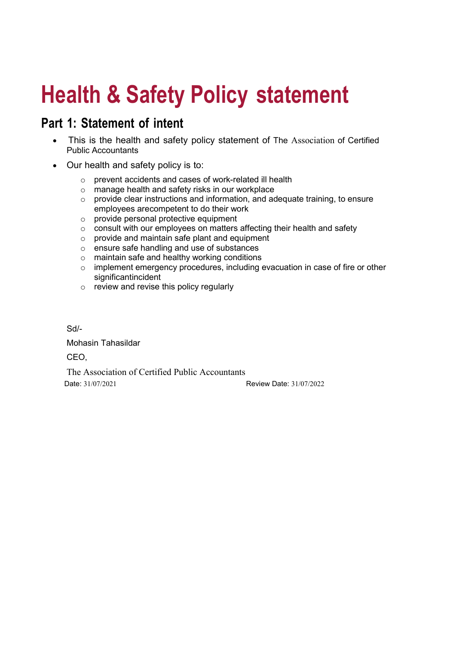# Health & Safety Policy statement

### Part 1: Statement of intent

- This is the health and safety policy statement of The Association of Certified Public Accountants
- Our health and safety policy is to:
	- o prevent accidents and cases of work-related ill health
	- o manage health and safety risks in our workplace
	- o provide clear instructions and information, and adequate training, to ensure employees are competent to do their work
	- o provide personal protective equipment
	- $\circ$  consult with our employees on matters affecting their health and safety
	- $\circ$  provide and maintain safe plant and equipment
	- o ensure safe handling and use of substances
	- o maintain safe and healthy working conditions
	- o implement emergency procedures, including evacuation in case of fire or other significant incident
	- o review and revise this policy regularly

Sd/-

Mohasin Tahasildar CEO,

The Association of Certified Public Accountants Date: 31/07/2021 Review Date: 31/07/2022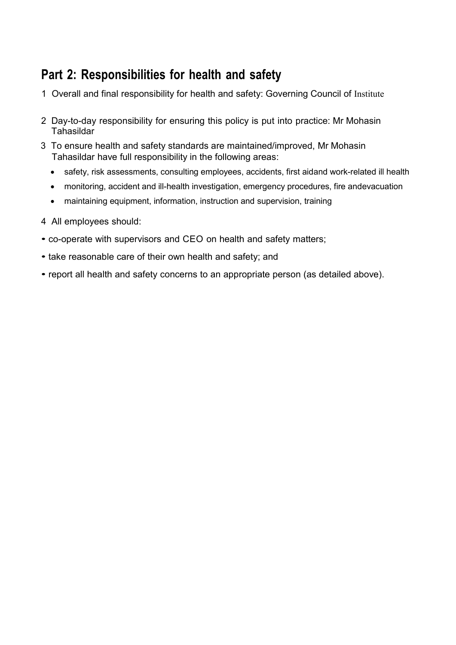## Part 2: Responsibilities for health and safety

- 1 Overall and final responsibility for health and safety: Governing Council of Institute
- 2 Day-to-day responsibility for ensuring this policy is put into practice: Mr Mohasin Tahasildar
- 3 To ensure health and safety standards are maintained/improved, Mr Mohasin Tahasildar have full responsibility in the following areas:
	- safety, risk assessments, consulting employees, accidents, first aidand work-related ill health
	- monitoring, accident and ill-health investigation, emergency procedures, fire and evacuation
	- maintaining equipment, information, instruction and supervision, training
- 4 All employees should:
- co-operate with supervisors and CEO on health and safety matters;
- take reasonable care of their own health and safety; and
- report all health and safety concerns to an appropriate person (as detailed above).